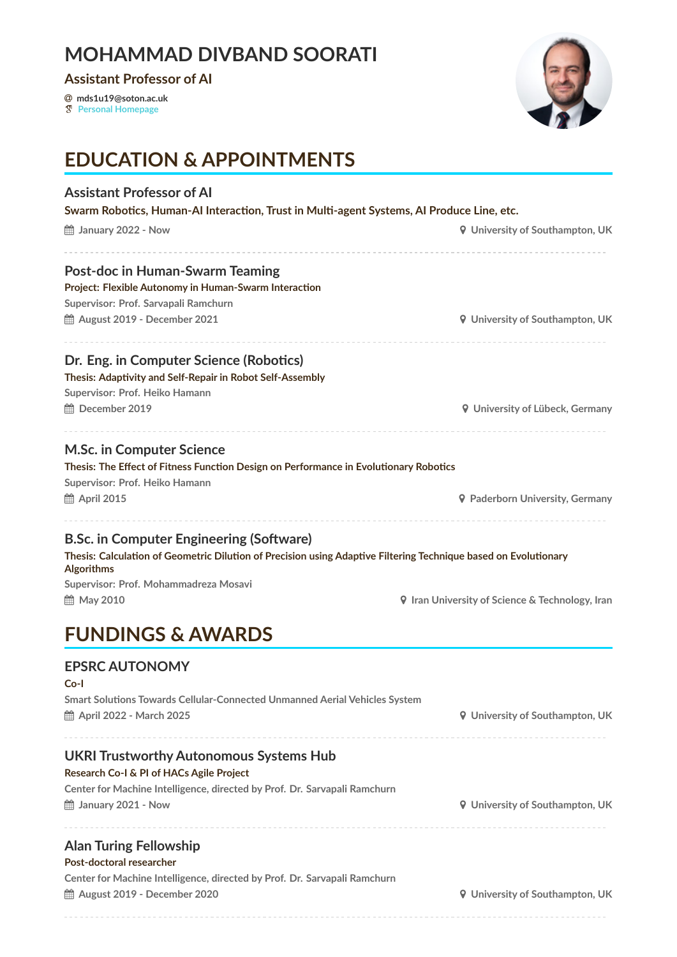### **MOHAMMAD DIVBAND SOORATI**

**Assistant Professor of AI**

� **mds1u19@soton.ac.uk**

� **[Personal Homepage](https://divbandsoorati.com)**



## **EDUCATION & APPOINTMENTS**

| <b>Assistant Professor of Al</b><br>Swarm Robotics, Human-AI Interaction, Trust in Multi-agent Systems, AI Produce Line, etc.                                                                                                    |                                                        |  |
|----------------------------------------------------------------------------------------------------------------------------------------------------------------------------------------------------------------------------------|--------------------------------------------------------|--|
| ■ January 2022 - Now                                                                                                                                                                                                             | <b>9</b> University of Southampton, UK                 |  |
| Post-doc in Human-Swarm Teaming                                                                                                                                                                                                  |                                                        |  |
| Project: Flexible Autonomy in Human-Swarm Interaction                                                                                                                                                                            |                                                        |  |
| Supervisor: Prof. Sarvapali Ramchurn                                                                                                                                                                                             |                                                        |  |
| th August 2019 - December 2021                                                                                                                                                                                                   | <b>9</b> University of Southampton, UK                 |  |
| Dr. Eng. in Computer Science (Robotics)                                                                                                                                                                                          |                                                        |  |
| Thesis: Adaptivity and Self-Repair in Robot Self-Assembly                                                                                                                                                                        |                                                        |  |
| Supervisor: Prof. Heiko Hamann                                                                                                                                                                                                   |                                                        |  |
| ■ December 2019                                                                                                                                                                                                                  | <b>9</b> University of Lübeck, Germany                 |  |
| <b>M.Sc. in Computer Science</b>                                                                                                                                                                                                 |                                                        |  |
| Thesis: The Effect of Fitness Function Design on Performance in Evolutionary Robotics                                                                                                                                            |                                                        |  |
| Supervisor: Prof. Heiko Hamann                                                                                                                                                                                                   |                                                        |  |
| <b>論 April 2015</b>                                                                                                                                                                                                              | <b>9</b> Paderborn University, Germany                 |  |
| <b>B.Sc. in Computer Engineering (Software)</b><br>Thesis: Calculation of Geometric Dilution of Precision using Adaptive Filtering Technique based on Evolutionary<br><b>Algorithms</b><br>Supervisor: Prof. Mohammadreza Mosavi |                                                        |  |
| th May 2010                                                                                                                                                                                                                      | <b>9</b> Iran University of Science & Technology, Iran |  |
| <b>FUNDINGS &amp; AWARDS</b>                                                                                                                                                                                                     |                                                        |  |
| <b>EPSRC AUTONOMY</b>                                                                                                                                                                                                            |                                                        |  |
| Co-l                                                                                                                                                                                                                             |                                                        |  |
| Smart Solutions Towards Cellular-Connected Unmanned Aerial Vehicles System                                                                                                                                                       |                                                        |  |
| th April 2022 - March 2025                                                                                                                                                                                                       | <b>9</b> University of Southampton, UK                 |  |
| <b>UKRI Trustworthy Autonomous Systems Hub</b>                                                                                                                                                                                   |                                                        |  |
| Research Co-I & PI of HACs Agile Project                                                                                                                                                                                         |                                                        |  |
| Center for Machine Intelligence, directed by Prof. Dr. Sarvapali Ramchurn                                                                                                                                                        |                                                        |  |
| ■ January 2021 - Now                                                                                                                                                                                                             | <b>9</b> University of Southampton, UK                 |  |
| <b>Alan Turing Fellowship</b>                                                                                                                                                                                                    |                                                        |  |
| Post-doctoral researcher                                                                                                                                                                                                         |                                                        |  |
| Center for Machine Intelligence, directed by Prof. Dr. Sarvapali Ramchurn                                                                                                                                                        |                                                        |  |
| 的 August 2019 - December 2020                                                                                                                                                                                                    | <b>9</b> University of Southampton, UK                 |  |
|                                                                                                                                                                                                                                  |                                                        |  |